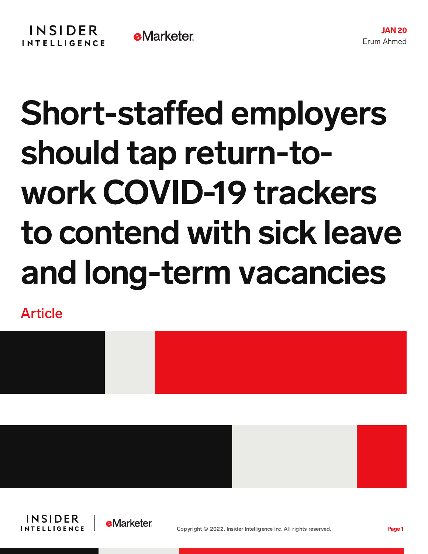## Short-staffed employers should tap return-towork COVID-19 trackers to contend with sick leave and long-term vacancies

Article







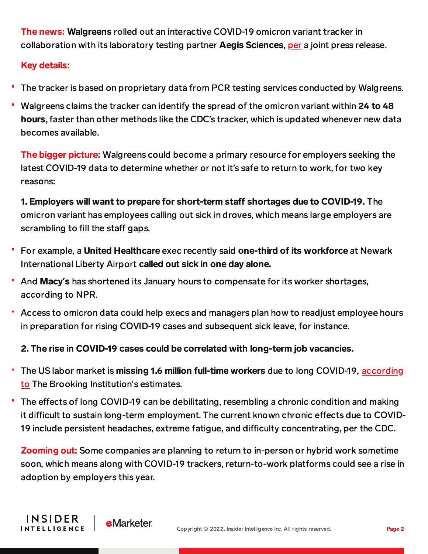The news: Walgreens rolled out an interactive COVID-19 omicron variant tracker in collaboration with its laboratory testing partner Aegis Sciences, [per](https://www.businesswire.com/news/home/20220119005357/en/Walgreens-Launches-COVID-19-Index-to-Advance-Rapid-Detection-of-Omicron-and-Track-Variant-Activity-by-State) a joint press release.

## Key details:

INSIDER

**INTELLIGENCE** 

**e**Marketer

- The tracker is based on proprietary data from PCR testing services conducted by Walgreens.
- Walgreens claims the tracker can identify the spread of the omicron variant within 24 to 48 hours, faster than other methods like the CDC's tracker, which is updated whenever new data becomes available.

**The bigger picture:** Walgreens could become a primary resource for employers seeking the latest COVID-19 data to determine whether or not it's safe to return to work, for two key reasons:

1. Employers will want to prepare for short-term staff shortages due to COVID-19. The omicron variant has employees calling out sick in droves, which means large employers are scrambling to fill the staff gaps.

- For example, a United Healthcare exec recently said one-third of its workforce at Newark International Liberty Airport called out sick in one day alone.
- And Macy**'**s has shortened its January hours to compensate for its worker shortages, according to NPR.
- Access to omicron data could help execs and managers plan how to readjust employee hours in preparation for rising COVID-19 cases and subsequent sick leave, for instance.

## 2. The rise in COVID-19 cases could be correlated with long-term job vacancies.

- The US labor market is missing 1.6 million full-time workers due to long COVID-19, according ۳ to The Brooking [Institution's](https://www.brookings.edu/research/is-long-covid-worsening-the-labor-shortage/) estimates.
- The effects of long COVID-19 can be debilitating, resembling a chronic condition and making it difficult to sustain long-term employment. The current known chronic effects due to COVID-19 include persistent headaches, extreme fatigue, and difficulty concentrating, per the CDC.

**Zooming out:** Some companies are planning to return to in-person or hybrid work sometime soon, which means along with COVID-19 trackers, return-to-work platforms could see a rise in adoption by employers this year.